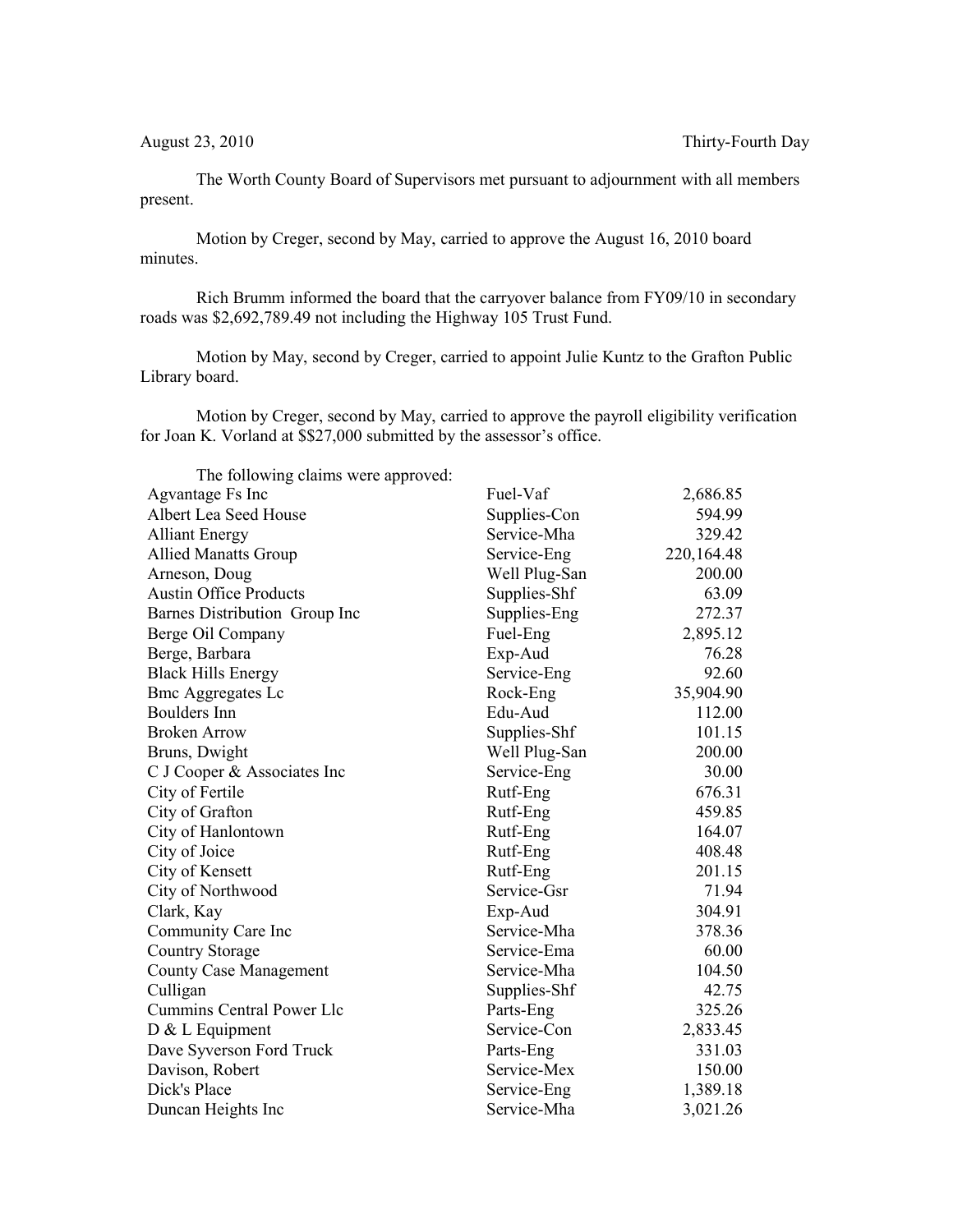The Worth County Board of Supervisors met pursuant to adjournment with all members present.

Motion by Creger, second by May, carried to approve the August 16, 2010 board minutes.

Rich Brumm informed the board that the carryover balance from FY09/10 in secondary roads was \$2,692,789.49 not including the Highway 105 Trust Fund.

Motion by May, second by Creger, carried to appoint Julie Kuntz to the Grafton Public Library board.

Motion by Creger, second by May, carried to approve the payroll eligibility verification for Joan K. Vorland at \$\$27,000 submitted by the assessor's office.

| The following claims were approved: |               |              |
|-------------------------------------|---------------|--------------|
| Agvantage Fs Inc                    | Fuel-Vaf      | 2,686.85     |
| Albert Lea Seed House               | Supplies-Con  | 594.99       |
| <b>Alliant Energy</b>               | Service-Mha   | 329.42       |
| <b>Allied Manatts Group</b>         | Service-Eng   | 220, 164. 48 |
| Arneson, Doug                       | Well Plug-San | 200.00       |
| <b>Austin Office Products</b>       | Supplies-Shf  | 63.09        |
| Barnes Distribution Group Inc       | Supplies-Eng  | 272.37       |
| Berge Oil Company                   | Fuel-Eng      | 2,895.12     |
| Berge, Barbara                      | Exp-Aud       | 76.28        |
| <b>Black Hills Energy</b>           | Service-Eng   | 92.60        |
| <b>Bmc Aggregates Lc</b>            | Rock-Eng      | 35,904.90    |
| <b>Boulders</b> Inn                 | Edu-Aud       | 112.00       |
| <b>Broken Arrow</b>                 | Supplies-Shf  | 101.15       |
| Bruns, Dwight                       | Well Plug-San | 200.00       |
| C J Cooper & Associates Inc         | Service-Eng   | 30.00        |
| City of Fertile                     | Rutf-Eng      | 676.31       |
| City of Grafton                     | Rutf-Eng      | 459.85       |
| City of Hanlontown                  | Rutf-Eng      | 164.07       |
| City of Joice                       | Rutf-Eng      | 408.48       |
| City of Kensett                     | Rutf-Eng      | 201.15       |
| City of Northwood                   | Service-Gsr   | 71.94        |
| Clark, Kay                          | Exp-Aud       | 304.91       |
| Community Care Inc                  | Service-Mha   | 378.36       |
| <b>Country Storage</b>              | Service-Ema   | 60.00        |
| <b>County Case Management</b>       | Service-Mha   | 104.50       |
| Culligan                            | Supplies-Shf  | 42.75        |
| Cummins Central Power Llc           | Parts-Eng     | 325.26       |
| D & L Equipment                     | Service-Con   | 2,833.45     |
| Dave Syverson Ford Truck            | Parts-Eng     | 331.03       |
| Davison, Robert                     | Service-Mex   | 150.00       |
| Dick's Place                        | Service-Eng   | 1,389.18     |
| Duncan Heights Inc                  | Service-Mha   | 3,021.26     |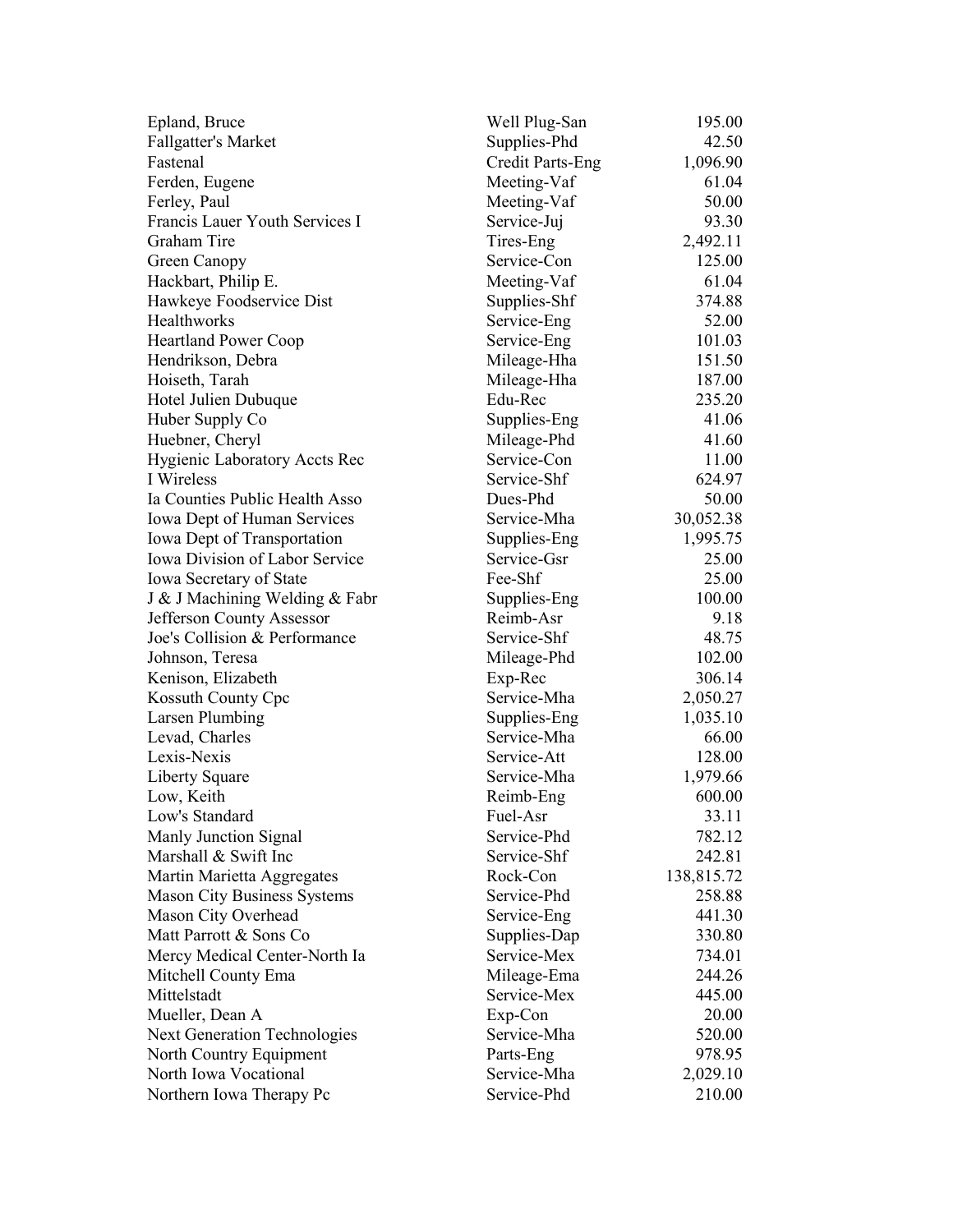| Epland, Bruce                         | Well Plug-San    | 195.00               |
|---------------------------------------|------------------|----------------------|
| Fallgatter's Market                   | Supplies-Phd     | 42.50                |
| Fastenal                              | Credit Parts-Eng | 1,096.90             |
| Ferden, Eugene                        | Meeting-Vaf      | 61.04                |
| Ferley, Paul                          | Meeting-Vaf      | 50.00                |
| Francis Lauer Youth Services I        | Service-Juj      | 93.30                |
| Graham Tire                           | Tires-Eng        | 2,492.11             |
| Green Canopy                          | Service-Con      | 125.00               |
| Hackbart, Philip E.                   | Meeting-Vaf      | 61.04                |
| Hawkeye Foodservice Dist              | Supplies-Shf     | 374.88               |
| <b>Healthworks</b>                    | Service-Eng      | 52.00                |
| <b>Heartland Power Coop</b>           | Service-Eng      | 101.03               |
| Hendrikson, Debra                     | Mileage-Hha      | 151.50               |
| Hoiseth, Tarah                        | Mileage-Hha      | 187.00               |
| Hotel Julien Dubuque                  | Edu-Rec          | 235.20               |
| Huber Supply Co                       | Supplies-Eng     | 41.06                |
| Huebner, Cheryl                       | Mileage-Phd      | 41.60                |
| Hygienic Laboratory Accts Rec         | Service-Con      | 11.00                |
| I Wireless                            | Service-Shf      | 624.97               |
| Ia Counties Public Health Asso        | Dues-Phd         | 50.00                |
| Iowa Dept of Human Services           | Service-Mha      | 30,052.38            |
| Iowa Dept of Transportation           | Supplies-Eng     | 1,995.75             |
| <b>Iowa Division of Labor Service</b> | Service-Gsr      | 25.00                |
| Iowa Secretary of State               | Fee-Shf          | 25.00                |
| J & J Machining Welding & Fabr        | Supplies-Eng     | 100.00               |
| Jefferson County Assessor             | Reimb-Asr        | 9.18                 |
| Joe's Collision & Performance         | Service-Shf      | 48.75                |
| Johnson, Teresa                       | Mileage-Phd      | 102.00               |
| Kenison, Elizabeth                    | Exp-Rec          | 306.14               |
| Kossuth County Cpc                    | Service-Mha      | 2,050.27             |
| Larsen Plumbing                       | Supplies-Eng     | 1,035.10             |
| Levad, Charles                        | Service-Mha      | 66.00                |
| Lexis-Nexis                           | Service-Att      | 128.00               |
| Liberty Square                        | Service-Mha      | 1,979.66             |
| Low, Keith                            | Reimb-Eng        | 600.00               |
| Low's Standard                        | Fuel-Asr         | 33.11                |
| Manly Junction Signal                 | Service-Phd      | 782.12               |
| Marshall & Swift Inc                  | Service-Shf      | 242.81               |
| Martin Marietta Aggregates            | Rock-Con         |                      |
|                                       | Service-Phd      | 138,815.72<br>258.88 |
| <b>Mason City Business Systems</b>    |                  |                      |
| Mason City Overhead                   | Service-Eng      | 441.30               |
| Matt Parrott & Sons Co                | Supplies-Dap     | 330.80               |
| Mercy Medical Center-North Ia         | Service-Mex      | 734.01               |
| Mitchell County Ema                   | Mileage-Ema      | 244.26               |
| Mittelstadt                           | Service-Mex      | 445.00               |
| Mueller, Dean A                       | Exp-Con          | 20.00                |
| <b>Next Generation Technologies</b>   | Service-Mha      | 520.00               |
| North Country Equipment               | Parts-Eng        | 978.95               |
| North Iowa Vocational                 | Service-Mha      | 2,029.10             |
| Northern Iowa Therapy Pc              | Service-Phd      | 210.00               |